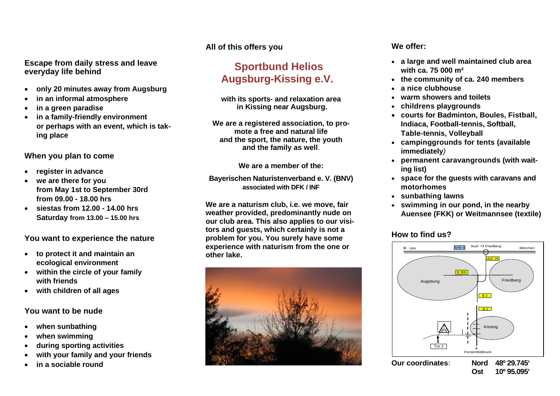#### **Escape from daily stress and leave everyday life behind**

- **only 20 minutes away from Augsburg**
- **in an informal atmosphere**
- **in a green paradise**
- **in a family-friendly environment or perhaps with an event, which is taking place**

## **When you plan to come**

- **register in advance**
- **we are there for you from May 1st to September 30rd from 09.00 - 18.00 hrs**
- **siestas from 12.00 - 14.00 hrs Saturday from 13.00 – 15.00 hrs**

## **You want to experience the nature**

- **to protect it and maintain an ecological environment**
- **within the circle of your family with friends**
- **with children of all ages**

#### **You want to be nude**

- **when sunbathing**
- **when swimming**
- **during sporting activities**
- **with your family and your friends**
- **in a sociable round**

## **All of this offers you**

# **Sportbund Helios Augsburg-Kissing e.V.**

**with its sports- and relaxation area in Kissing near Augsburg.**

**We are a registered association, to promote a free and natural life and the sport, the nature, the youth and the family as well**.

**We are a member of the:**

**Bayerischen Naturistenverband e. V. (BNV) associated with DFK / INF**

**We are a naturism club, i.e. we move, fair weather provided, predominantly nude on our club area. This also applies to our visitors and guests, which certainly is not a problem for you. You surely have some experience with naturism from the one or other lake.**



## **We offer:**

- **a large and well maintained club area with ca. 75 000 m²**
- **the community of ca. 240 members**
- **a nice clubhouse**
- **warm showers and toilets**
- **childrens playgrounds**
- **courts for Badminton, Boules, Fistball, Indiaca, Football-tennis, Softball, Table-tennis, Volleyball**
- **campinggrounds for tents (available immediately***)*
- **permanent caravangrounds (with waiting list)**
- **space for the guests with caravans and motorhomes**
- **sunbathing lawns**
- **swimming in our pond, in the nearby Auensee (FKK) or Weitmannsee (textile)**

## **How to find us?**



**Ost 10º 95.095'**